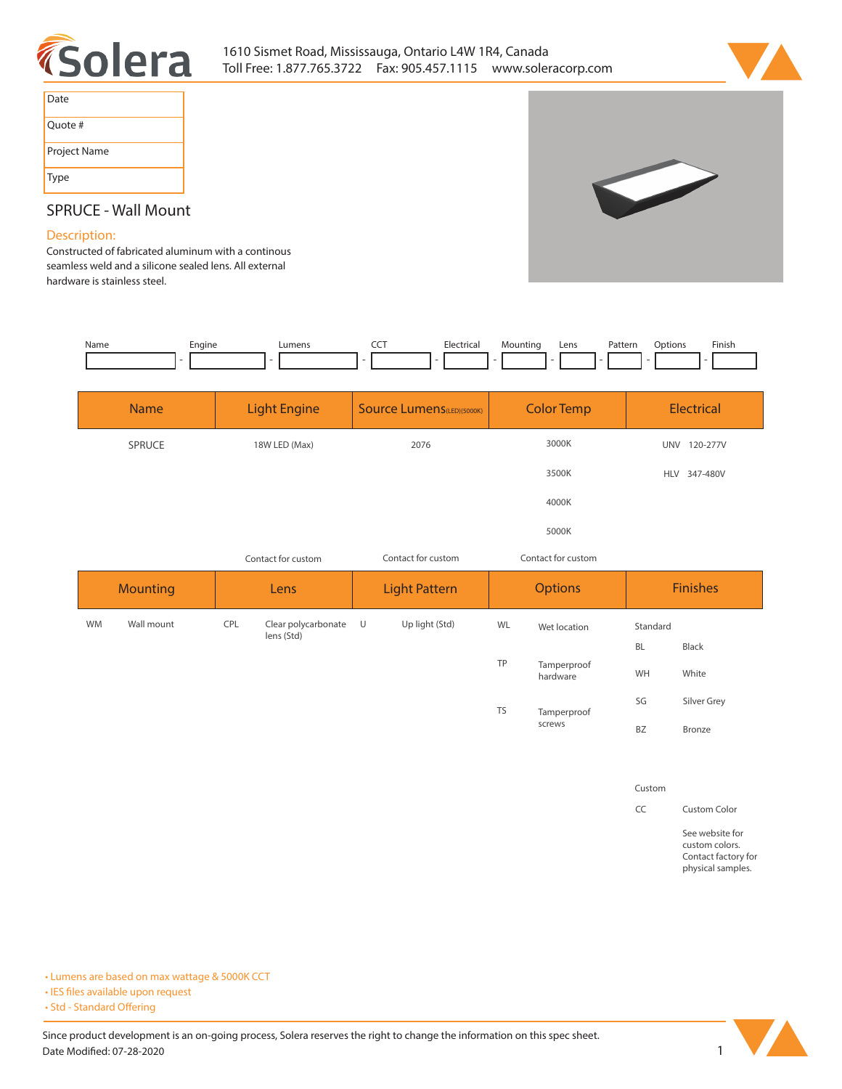



| Date         |
|--------------|
| Quote #      |
| Project Name |
| <b>Type</b>  |



## **SPRUCE - Wall Mount**

## **Description:**

**Constructed of fabricated aluminum with a continous seamless weld and a silicone sealed lens. All external hardware is stainless steel.** 

| Name | Engine<br>__ | ∟umens | ---<br>$\widetilde{\phantom{a}}$<br>$\sim$ $\sim$ | Electrical | Mountinc<br>$\sim$ - $\sim$ - $\sim$ - $\sim$<br>٠ | Lens | <sup>9</sup> atterr<br>. | )ptions | Finish. |
|------|--------------|--------|---------------------------------------------------|------------|----------------------------------------------------|------|--------------------------|---------|---------|
|      |              |        |                                                   |            |                                                    |      |                          |         |         |

| <b>Name</b> | <b>Light Engine</b> | <b>Source Lumens</b> (LED)(5000K) | <b>Color Temp</b> | Electrical             |
|-------------|---------------------|-----------------------------------|-------------------|------------------------|
| SPRUCE      | 18W LED (Max)       | 2076                              | 3000K             | 120-277V<br><b>UNV</b> |
|             |                     |                                   | 3500K             | <b>HLV</b><br>347-480V |
|             |                     |                                   | 4000K             |                        |
|             |                     |                                   | 5000K             |                        |

| Contact for custom |                         |            | Contact for custom<br>Contact for custom |        |                |                         |                 |           |              |
|--------------------|-------------------------|------------|------------------------------------------|--------|----------------|-------------------------|-----------------|-----------|--------------|
|                    | <b>Mounting</b><br>Lens |            | <b>Light Pattern</b>                     |        | <b>Options</b> |                         | <b>Finishes</b> |           |              |
| <b>WM</b>          | Wall mount              | <b>CPL</b> | Clear polycarbonate U<br>lens (Std)      |        | Up light (Std) | WL                      | Wet location    | Standard  |              |
|                    |                         |            |                                          |        |                |                         |                 | <b>BL</b> | <b>Black</b> |
|                    |                         |            |                                          |        | TP             | Tamperproof<br>hardware | WH              | White     |              |
|                    |                         |            |                                          |        |                | <b>TS</b>               | Tamperproof     | SG        | Silver Grey  |
|                    |                         |            |                                          | screws | <b>BZ</b>      | Bronze                  |                 |           |              |

**Custom**

**CC Custom Color**

**See website for custom colors. Contact factory for physical samples.** 

**• Lumens are based on max wattage & 5000K CCT**

**• IES files available upon request** 

• Std - Standard Offering

Since product development is an on-going process, Solera reserves the right to change the information on this spec sheet. **Date Modified: 07-28-2020** 1